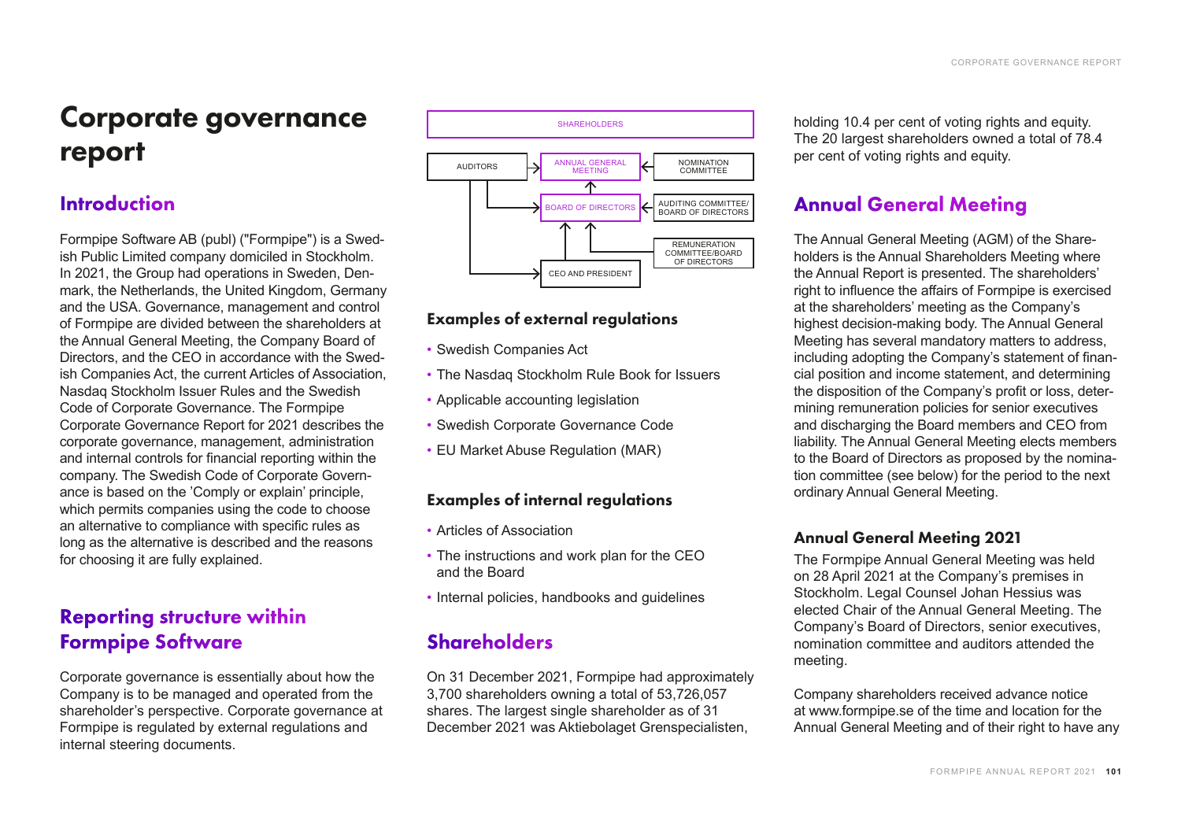# Corporate governance report

## **Introduction**

Formpipe Software AB (publ) ("Formpipe") is a Swedish Public Limited company domiciled in Stockholm. In 2021, the Group had operations in Sweden, Denmark, the Netherlands, the United Kingdom, Germany and the USA. Governance, management and control of Formpipe are divided between the shareholders at the Annual General Meeting, the Company Board of Directors, and the CEO in accordance with the Swedish Companies Act, the current Articles of Association, Nasdaq Stockholm Issuer Rules and the Swedish Code of Corporate Governance. The Formpipe Corporate Governance Report for 2021 describes the corporate governance, management, administration and internal controls for financial reporting within the company. The Swedish Code of Corporate Governance is based on the 'Comply or explain' principle, which permits companies using the code to choose an alternative to compliance with specific rules as long as the alternative is described and the reasons for choosing it are fully explained.

## Reporting structure within Formpipe Software

Corporate governance is essentially about how the Company is to be managed and operated from the shareholder's perspective. Corporate governance at Formpipe is regulated by external regulations and internal steering documents.



## Examples of external regulations

- Swedish Companies Act
- The Nasdaq Stockholm Rule Book for Issuers
- Applicable accounting legislation
- Swedish Corporate Governance Code
- EU Market Abuse Regulation (MAR)

## Examples of internal regulations

- Articles of Association
- The instructions and work plan for the CEO and the Board
- Internal policies, handbooks and guidelines

## Shareholders

On 31 December 2021, Formpipe had approximately 3,700 shareholders owning a total of 53,726,057 shares. The largest single shareholder as of 31 December 2021 was Aktiebolaget Grenspecialisten,

holding 10.4 per cent of voting rights and equity. The 20 largest shareholders owned a total of 78.4 per cent of voting rights and equity.

## Annual General Meeting

The Annual General Meeting (AGM) of the Shareholders is the Annual Shareholders Meeting where the Annual Report is presented. The shareholders' right to influence the affairs of Formpipe is exercised at the shareholders' meeting as the Company's highest decision-making body. The Annual General Meeting has several mandatory matters to address, including adopting the Company's statement of financial position and income statement, and determining the disposition of the Company's profit or loss, determining remuneration policies for senior executives and discharging the Board members and CEO from liability. The Annual General Meeting elects members to the Board of Directors as proposed by the nomination committee (see below) for the period to the next ordinary Annual General Meeting.

## Annual General Meeting 2021

The Formpipe Annual General Meeting was held on 28 April 2021 at the Company's premises in Stockholm. Legal Counsel Johan Hessius was elected Chair of the Annual General Meeting. The Company's Board of Directors, senior executives, nomination committee and auditors attended the meeting.

Company shareholders received advance notice at www.formpipe.se of the time and location for the Annual General Meeting and of their right to have any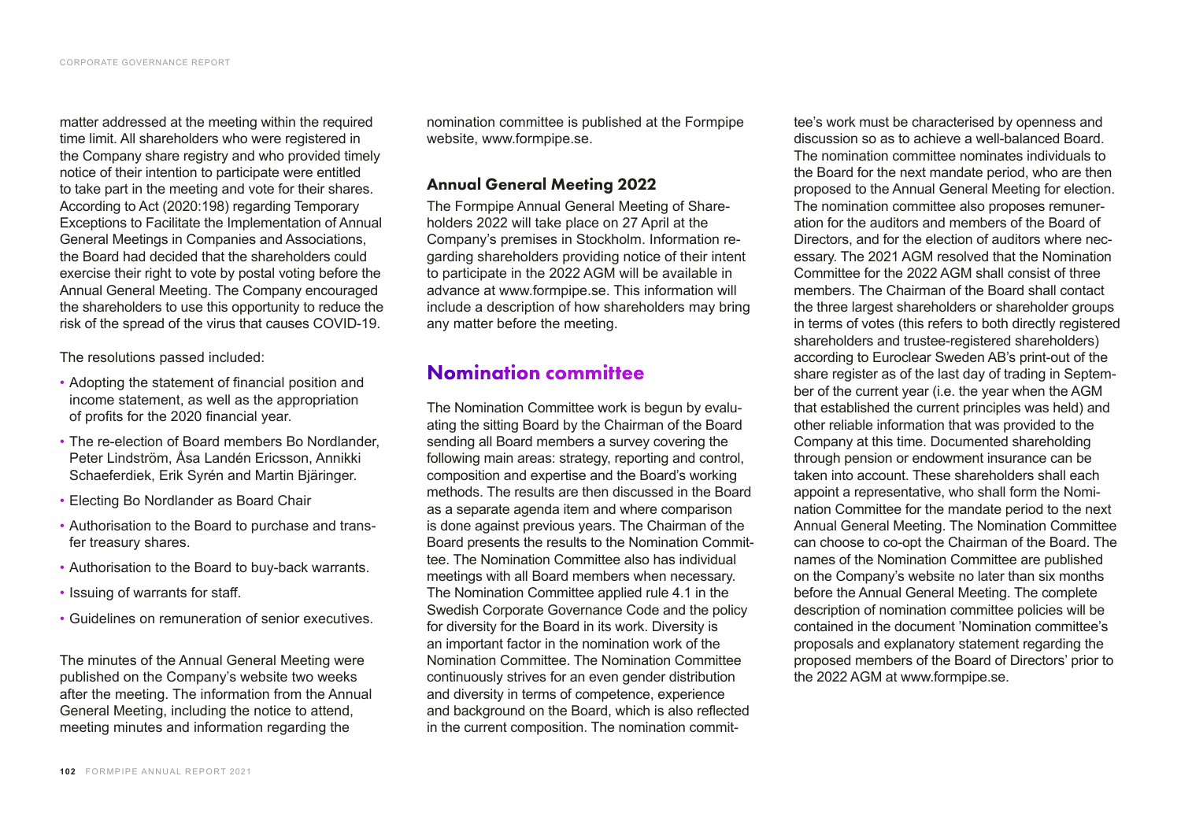matter addressed at the meeting within the required time limit. All shareholders who were registered in the Company share registry and who provided timely notice of their intention to participate were entitled to take part in the meeting and vote for their shares. According to Act (2020:198) regarding Temporary Exceptions to Facilitate the Implementation of Annual General Meetings in Companies and Associations, the Board had decided that the shareholders could exercise their right to vote by postal voting before the Annual General Meeting. The Company encouraged the shareholders to use this opportunity to reduce the risk of the spread of the virus that causes COVID-19.

The resolutions passed included:

- Adopting the statement of financial position and income statement, as well as the appropriation of profits for the 2020 financial year.
- The re-election of Board members Bo Nordlander, Peter Lindström, Åsa Landén Ericsson, Annikki Schaeferdiek, Erik Syrén and Martin Bjäringer.
- Electing Bo Nordlander as Board Chair
- Authorisation to the Board to purchase and transfer treasury shares.
- Authorisation to the Board to buy-back warrants.
- Issuing of warrants for staff.
- Guidelines on remuneration of senior executives.

The minutes of the Annual General Meeting were published on the Company's website two weeks after the meeting. The information from the Annual General Meeting, including the notice to attend, meeting minutes and information regarding the

nomination committee is published at the Formpipe website, www.formpipe.se.

### Annual General Meeting 2022

The Formpipe Annual General Meeting of Shareholders 2022 will take place on 27 April at the Company's premises in Stockholm. Information regarding shareholders providing notice of their intent to participate in the 2022 AGM will be available in advance at www.formpipe.se. This information will include a description of how shareholders may bring any matter before the meeting.

## Nomination committee

The Nomination Committee work is begun by evaluating the sitting Board by the Chairman of the Board sending all Board members a survey covering the following main areas: strategy, reporting and control, composition and expertise and the Board's working methods. The results are then discussed in the Board as a separate agenda item and where comparison is done against previous years. The Chairman of the Board presents the results to the Nomination Committee. The Nomination Committee also has individual meetings with all Board members when necessary. The Nomination Committee applied rule 4.1 in the Swedish Corporate Governance Code and the policy for diversity for the Board in its work. Diversity is an important factor in the nomination work of the Nomination Committee. The Nomination Committee continuously strives for an even gender distribution and diversity in terms of competence, experience and background on the Board, which is also reflected in the current composition. The nomination committee's work must be characterised by openness and discussion so as to achieve a well-balanced Board. The nomination committee nominates individuals to the Board for the next mandate period, who are then proposed to the Annual General Meeting for election. The nomination committee also proposes remuneration for the auditors and members of the Board of Directors, and for the election of auditors where necessary. The 2021 AGM resolved that the Nomination Committee for the 2022 AGM shall consist of three members. The Chairman of the Board shall contact the three largest shareholders or shareholder groups in terms of votes (this refers to both directly registered shareholders and trustee-registered shareholders) according to Euroclear Sweden AB's print-out of the share register as of the last day of trading in September of the current year (i.e. the year when the AGM that established the current principles was held) and other reliable information that was provided to the Company at this time. Documented shareholding through pension or endowment insurance can be taken into account. These shareholders shall each appoint a representative, who shall form the Nomination Committee for the mandate period to the next Annual General Meeting. The Nomination Committee can choose to co-opt the Chairman of the Board. The names of the Nomination Committee are published on the Company's website no later than six months before the Annual General Meeting. The complete description of nomination committee policies will be contained in the document 'Nomination committee's proposals and explanatory statement regarding the proposed members of the Board of Directors' prior to the 2022 AGM at www.formpipe.se.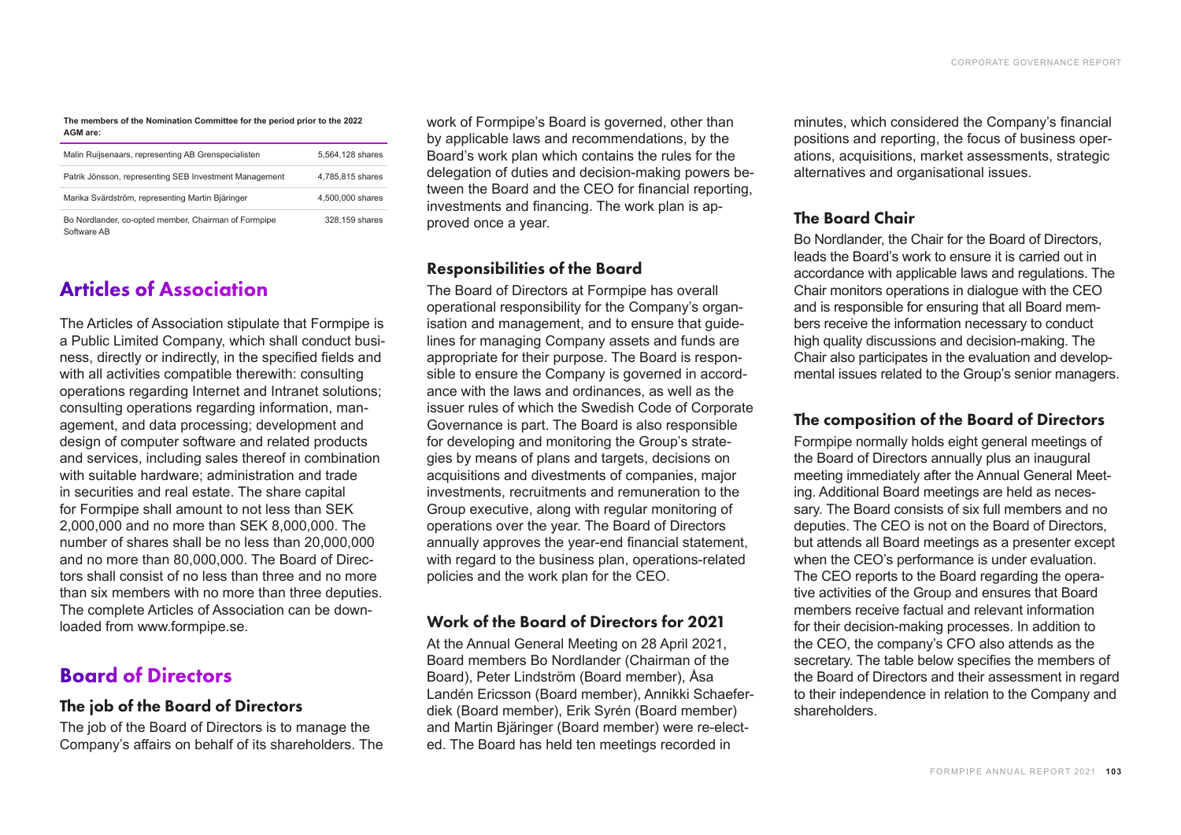#### **The members of the Nomination Committee for the period prior to the 2022 AGM are:**

| Malin Ruijsenaars, representing AB Grenspecialisten                 | 5.564.128 shares |
|---------------------------------------------------------------------|------------------|
| Patrik Jönsson, representing SEB Investment Management              | 4,785,815 shares |
| Marika Svärdström, representing Martin Bjäringer                    | 4.500,000 shares |
| Bo Nordlander, co-opted member, Chairman of Formpipe<br>Software AB | 328,159 shares   |

## Articles of Association

The Articles of Association stipulate that Formpipe is a Public Limited Company, which shall conduct business, directly or indirectly, in the specified fields and with all activities compatible therewith: consulting operations regarding Internet and Intranet solutions; consulting operations regarding information, management, and data processing; development and design of computer software and related products and services, including sales thereof in combination with suitable hardware; administration and trade in securities and real estate. The share capital for Formpipe shall amount to not less than SEK 2,000,000 and no more than SEK 8,000,000. The number of shares shall be no less than 20,000,000 and no more than 80,000,000. The Board of Directors shall consist of no less than three and no more than six members with no more than three deputies. The complete Articles of Association can be downloaded from www.formpipe.se.

## Board of Directors

### The job of the Board of Directors

The job of the Board of Directors is to manage the Company's affairs on behalf of its shareholders. The

work of Formpipe's Board is governed, other than by applicable laws and recommendations, by the Board's work plan which contains the rules for the delegation of duties and decision-making powers between the Board and the CEO for financial reporting, investments and financing. The work plan is approved once a year.

## Responsibilities of the Board

The Board of Directors at Formpipe has overall operational responsibility for the Company's organisation and management, and to ensure that guidelines for managing Company assets and funds are appropriate for their purpose. The Board is responsible to ensure the Company is governed in accordance with the laws and ordinances, as well as the issuer rules of which the Swedish Code of Corporate Governance is part. The Board is also responsible for developing and monitoring the Group's strategies by means of plans and targets, decisions on acquisitions and divestments of companies, major investments, recruitments and remuneration to the Group executive, along with regular monitoring of operations over the year. The Board of Directors annually approves the year-end financial statement, with regard to the business plan, operations-related policies and the work plan for the CEO.

### Work of the Board of Directors for 2021

At the Annual General Meeting on 28 April 2021, Board members Bo Nordlander (Chairman of the Board), Peter Lindström (Board member), Åsa Landén Ericsson (Board member), Annikki Schaeferdiek (Board member), Erik Syrén (Board member) and Martin Bjäringer (Board member) were re-elected. The Board has held ten meetings recorded in

minutes, which considered the Company's financial positions and reporting, the focus of business operations, acquisitions, market assessments, strategic alternatives and organisational issues.

### The Board Chair

Bo Nordlander, the Chair for the Board of Directors, leads the Board's work to ensure it is carried out in accordance with applicable laws and regulations. The Chair monitors operations in dialogue with the CEO and is responsible for ensuring that all Board members receive the information necessary to conduct high quality discussions and decision-making. The Chair also participates in the evaluation and developmental issues related to the Group's senior managers.

### The composition of the Board of Directors

Formpipe normally holds eight general meetings of the Board of Directors annually plus an inaugural meeting immediately after the Annual General Meeting. Additional Board meetings are held as necessary. The Board consists of six full members and no deputies. The CEO is not on the Board of Directors, but attends all Board meetings as a presenter except when the CEO's performance is under evaluation. The CEO reports to the Board regarding the operative activities of the Group and ensures that Board members receive factual and relevant information for their decision-making processes. In addition to the CEO, the company's CFO also attends as the secretary. The table below specifies the members of the Board of Directors and their assessment in regard to their independence in relation to the Company and shareholders.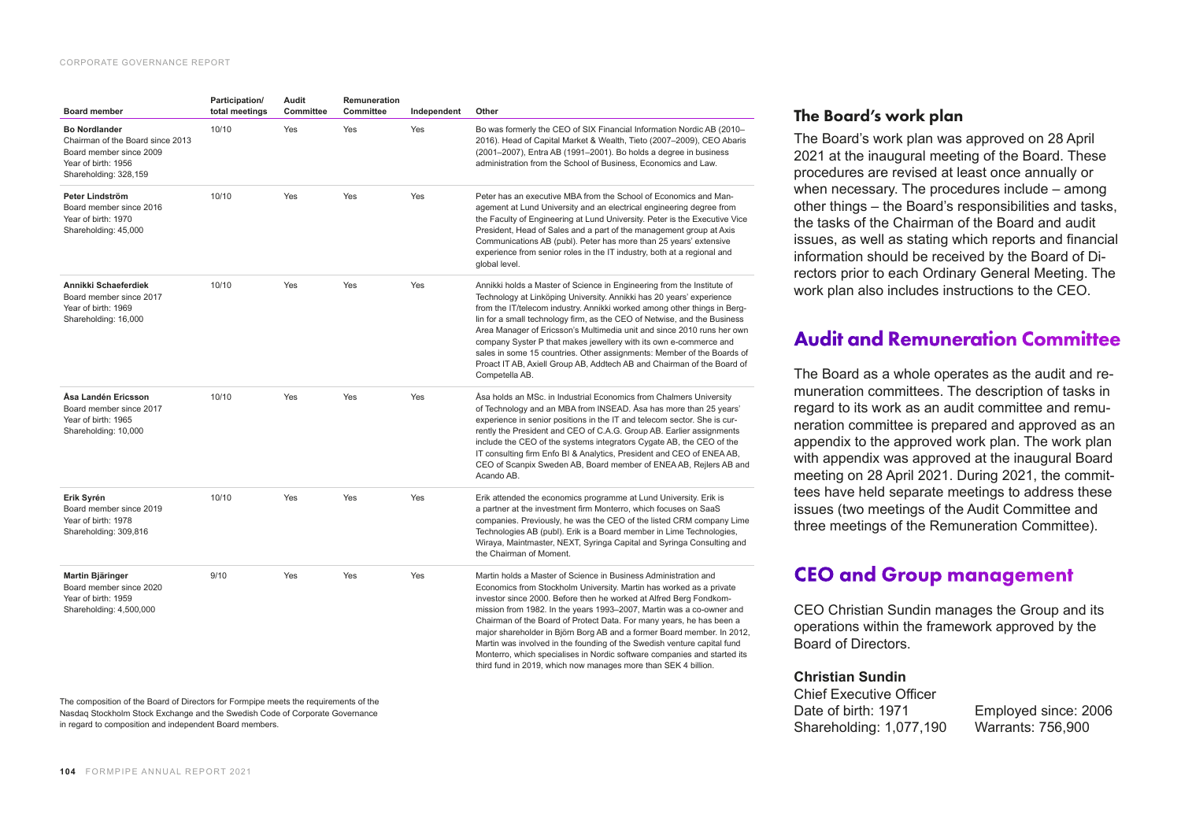#### CORPORATE GOVERNANCE REPORT

| <b>Board member</b>                                                                                                                 | Participation/<br>total meetings | Audit<br>Committee | Remuneration<br>Committee | Independent | Other                                                                                                                                                                                                                                                                                                                                                                                                                                                                                                                                                                                                                                                           |
|-------------------------------------------------------------------------------------------------------------------------------------|----------------------------------|--------------------|---------------------------|-------------|-----------------------------------------------------------------------------------------------------------------------------------------------------------------------------------------------------------------------------------------------------------------------------------------------------------------------------------------------------------------------------------------------------------------------------------------------------------------------------------------------------------------------------------------------------------------------------------------------------------------------------------------------------------------|
| <b>Bo Nordlander</b><br>Chairman of the Board since 2013<br>Board member since 2009<br>Year of birth: 1956<br>Shareholding: 328,159 | 10/10                            | Yes                | Yes                       | Yes         | Bo was formerly the CEO of SIX Financial Information Nordic AB (2010-<br>2016). Head of Capital Market & Wealth, Tieto (2007-2009), CEO Abaris<br>(2001–2007), Entra AB (1991–2001). Bo holds a degree in business<br>administration from the School of Business, Economics and Law.                                                                                                                                                                                                                                                                                                                                                                            |
| Peter Lindström<br>Board member since 2016<br>Year of birth: 1970<br>Shareholding: 45,000                                           | 10/10                            | Yes                | Yes                       | Yes         | Peter has an executive MBA from the School of Economics and Man-<br>agement at Lund University and an electrical engineering degree from<br>the Faculty of Engineering at Lund University. Peter is the Executive Vice<br>President, Head of Sales and a part of the management group at Axis<br>Communications AB (publ). Peter has more than 25 years' extensive<br>experience from senior roles in the IT industry, both at a regional and<br>global level.                                                                                                                                                                                                  |
| Annikki Schaeferdiek<br>Board member since 2017<br>Year of birth: 1969<br>Shareholding: 16,000                                      | 10/10                            | Yes                | Yes                       | Yes         | Annikki holds a Master of Science in Engineering from the Institute of<br>Technology at Linköping University. Annikki has 20 years' experience<br>from the IT/telecom industry. Annikki worked among other things in Berg-<br>lin for a small technology firm, as the CEO of Netwise, and the Business<br>Area Manager of Ericsson's Multimedia unit and since 2010 runs her own<br>company Syster P that makes jewellery with its own e-commerce and<br>sales in some 15 countries. Other assignments: Member of the Boards of<br>Proact IT AB, Axiell Group AB, Addtech AB and Chairman of the Board of<br>Competella AB.                                     |
| Åsa Landén Ericsson<br>Board member since 2017<br>Year of birth: 1965<br>Shareholding: 10,000                                       | 10/10                            | Yes                | Yes                       | Yes         | Asa holds an MSc. in Industrial Economics from Chalmers University<br>of Technology and an MBA from INSEAD. Asa has more than 25 years'<br>experience in senior positions in the IT and telecom sector. She is cur-<br>rently the President and CEO of C.A.G. Group AB. Earlier assignments<br>include the CEO of the systems integrators Cygate AB, the CEO of the<br>IT consulting firm Enfo BI & Analytics, President and CEO of ENEA AB,<br>CEO of Scanpix Sweden AB, Board member of ENEA AB, Rejlers AB and<br>Acando AB.                                                                                                                                 |
| Erik Syrén<br>Board member since 2019<br>Year of birth: 1978<br>Shareholding: 309,816                                               | 10/10                            | Yes                | Yes                       | Yes         | Erik attended the economics programme at Lund University. Erik is<br>a partner at the investment firm Monterro, which focuses on SaaS<br>companies. Previously, he was the CEO of the listed CRM company Lime<br>Technologies AB (publ). Erik is a Board member in Lime Technologies,<br>Wiraya, Maintmaster, NEXT, Syringa Capital and Syringa Consulting and<br>the Chairman of Moment.                                                                                                                                                                                                                                                                       |
| Martin Bjäringer<br>Board member since 2020<br>Year of birth: 1959<br>Shareholding: 4,500,000                                       | 9/10                             | Yes                | Yes                       | Yes         | Martin holds a Master of Science in Business Administration and<br>Economics from Stockholm University. Martin has worked as a private<br>investor since 2000. Before then he worked at Alfred Berg Fondkom-<br>mission from 1982. In the years 1993-2007, Martin was a co-owner and<br>Chairman of the Board of Protect Data. For many years, he has been a<br>major shareholder in Björn Borg AB and a former Board member. In 2012,<br>Martin was involved in the founding of the Swedish venture capital fund<br>Monterro, which specialises in Nordic software companies and started its<br>third fund in 2019, which now manages more than SEK 4 billion. |

The composition of the Board of Directors for Formpipe meets the requirements of the Nasdaq Stockholm Stock Exchange and the Swedish Code of Corporate Governance in regard to composition and independent Board members.

## The Board's work plan

The Board's work plan was approved on 28 April 2021 at the inaugural meeting of the Board. These procedures are revised at least once annually or when necessary. The procedures include  $-$  among other things – the Board's responsibilities and tasks, the tasks of the Chairman of the Board and audit issues, as well as stating which reports and financial information should be received by the Board of Directors prior to each Ordinary General Meeting. The work plan also includes instructions to the CEO.

## Audit and Remuneration Committee

The Board as a whole operates as the audit and remuneration committees. The description of tasks in regard to its work as an audit committee and remuneration committee is prepared and approved as an appendix to the approved work plan. The work plan with appendix was approved at the inaugural Board meeting on 28 April 2021. During 2021, the committees have held separate meetings to address these issues (two meetings of the Audit Committee and three meetings of the Remuneration Committee).

## CEO and Group management

CEO Christian Sundin manages the Group and its operations within the framework approved by the Board of Directors.

#### **Christian Sundin**

Chief Executive Officer Date of birth: 1971 Employed since: 2006 Shareholding: 1,077,190 Warrants: 756,900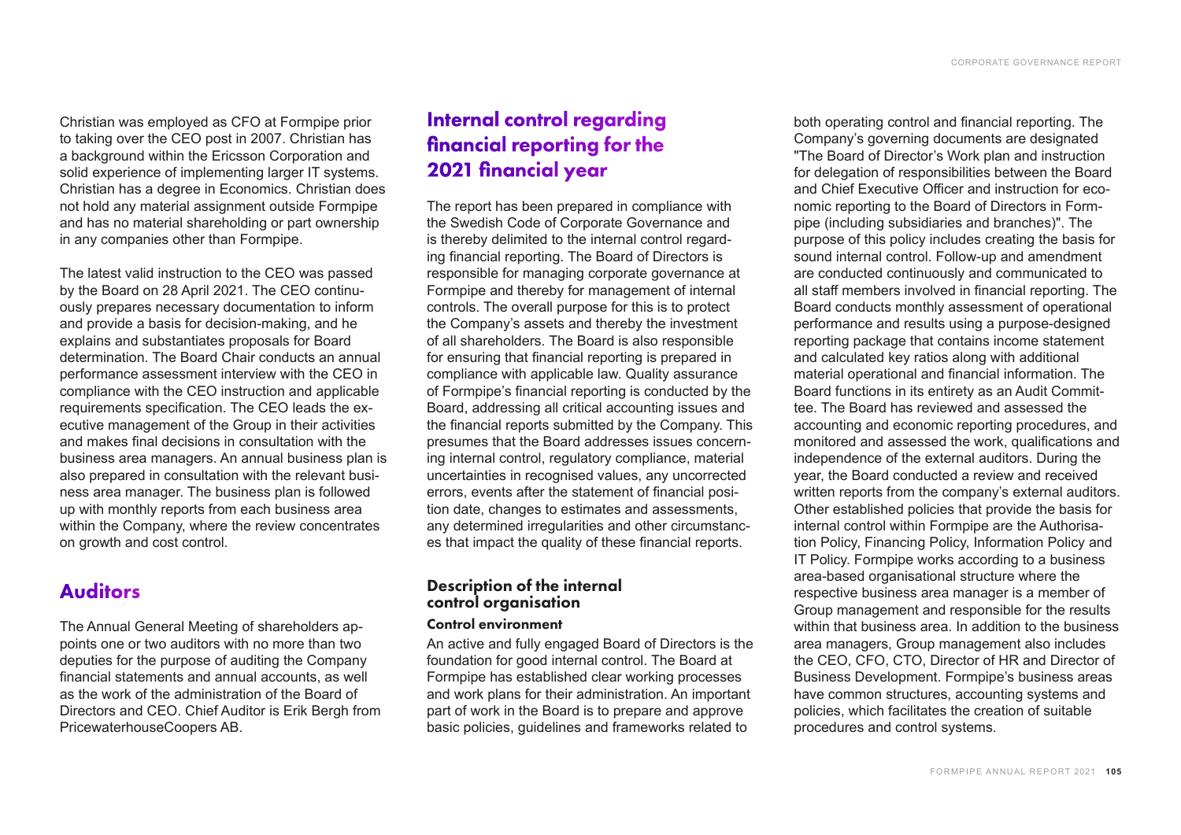Christian was employed as CFO at Formpipe prior to taking over the CEO post in 2007. Christian has a background within the Ericsson Corporation and solid experience of implementing larger IT systems. Christian has a degree in Economics. Christian does not hold any material assignment outside Formpipe and has no material shareholding or part ownership in any companies other than Formpipe.

The latest valid instruction to the CEO was passed by the Board on 28 April 2021. The CEO continuously prepares necessary documentation to inform and provide a basis for decision-making, and he explains and substantiates proposals for Board determination. The Board Chair conducts an annual performance assessment interview with the CEO in compliance with the CEO instruction and applicable requirements specification. The CEO leads the executive management of the Group in their activities and makes final decisions in consultation with the business area managers. An annual business plan is also prepared in consultation with the relevant business area manager. The business plan is followed up with monthly reports from each business area within the Company, where the review concentrates on growth and cost control.

## Auditors

The Annual General Meeting of shareholders appoints one or two auditors with no more than two deputies for the purpose of auditing the Company financial statements and annual accounts, as well as the work of the administration of the Board of Directors and CEO. Chief Auditor is Erik Bergh from PricewaterhouseCoopers AB.

## Internal control regarding financial reporting for the 2021 financial year

The report has been prepared in compliance with the Swedish Code of Corporate Governance and is thereby delimited to the internal control regarding financial reporting. The Board of Directors is responsible for managing corporate governance at Formpipe and thereby for management of internal controls. The overall purpose for this is to protect the Company's assets and thereby the investment of all shareholders. The Board is also responsible for ensuring that financial reporting is prepared in compliance with applicable law. Quality assurance of Formpipe's financial reporting is conducted by the Board, addressing all critical accounting issues and the financial reports submitted by the Company. This presumes that the Board addresses issues concerning internal control, regulatory compliance, material uncertainties in recognised values, any uncorrected errors, events after the statement of financial position date, changes to estimates and assessments, any determined irregularities and other circumstances that impact the quality of these financial reports.

## Description of the internal control organisation

### Control environment

An active and fully engaged Board of Directors is the foundation for good internal control. The Board at Formpipe has established clear working processes and work plans for their administration. An important part of work in the Board is to prepare and approve basic policies, guidelines and frameworks related to

both operating control and financial reporting. The Company's governing documents are designated "The Board of Director's Work plan and instruction for delegation of responsibilities between the Board and Chief Executive Officer and instruction for economic reporting to the Board of Directors in Formpipe (including subsidiaries and branches)". The purpose of this policy includes creating the basis for sound internal control. Follow-up and amendment are conducted continuously and communicated to all staff members involved in financial reporting. The Board conducts monthly assessment of operational performance and results using a purpose-designed reporting package that contains income statement and calculated key ratios along with additional material operational and financial information. The Board functions in its entirety as an Audit Committee. The Board has reviewed and assessed the accounting and economic reporting procedures, and monitored and assessed the work, qualifications and independence of the external auditors. During the year, the Board conducted a review and received written reports from the company's external auditors. Other established policies that provide the basis for internal control within Formpipe are the Authorisation Policy, Financing Policy, Information Policy and IT Policy. Formpipe works according to a business area-based organisational structure where the respective business area manager is a member of Group management and responsible for the results within that business area. In addition to the business area managers, Group management also includes the CEO, CFO, CTO, Director of HR and Director of Business Development. Formpipe's business areas have common structures, accounting systems and policies, which facilitates the creation of suitable procedures and control systems.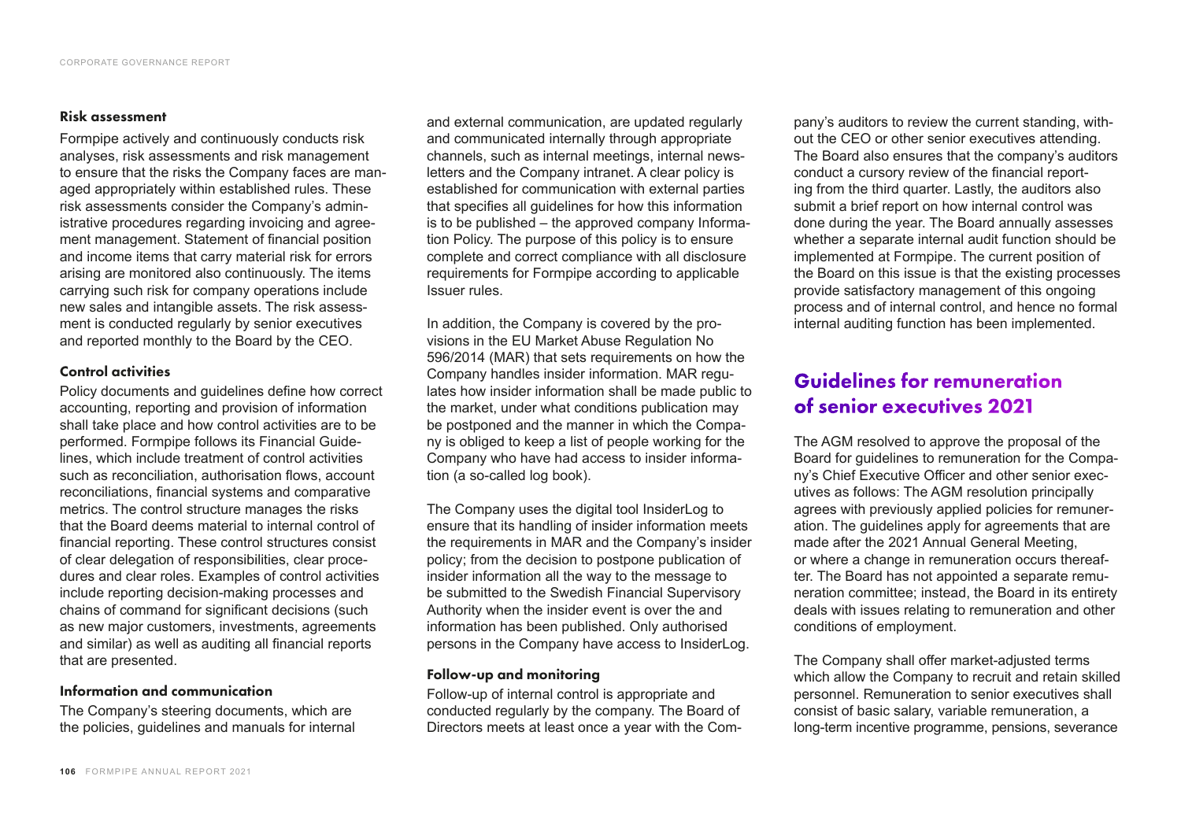#### Risk assessment

Formpipe actively and continuously conducts risk analyses, risk assessments and risk management to ensure that the risks the Company faces are managed appropriately within established rules. These risk assessments consider the Company's administrative procedures regarding invoicing and agreement management. Statement of financial position and income items that carry material risk for errors arising are monitored also continuously. The items carrying such risk for company operations include new sales and intangible assets. The risk assessment is conducted regularly by senior executives and reported monthly to the Board by the CEO.

#### Control activities

Policy documents and guidelines define how correct accounting, reporting and provision of information shall take place and how control activities are to be performed. Formpipe follows its Financial Guidelines, which include treatment of control activities such as reconciliation, authorisation flows, account reconciliations, financial systems and comparative metrics. The control structure manages the risks that the Board deems material to internal control of financial reporting. These control structures consist of clear delegation of responsibilities, clear procedures and clear roles. Examples of control activities include reporting decision-making processes and chains of command for significant decisions (such as new major customers, investments, agreements and similar) as well as auditing all financial reports that are presented.

### Information and communication

The Company's steering documents, which are the policies, guidelines and manuals for internal

and external communication, are updated regularly and communicated internally through appropriate channels, such as internal meetings, internal newsletters and the Company intranet. A clear policy is established for communication with external parties that specifies all guidelines for how this information is to be published – the approved company Information Policy. The purpose of this policy is to ensure complete and correct compliance with all disclosure requirements for Formpipe according to applicable Issuer rules.

In addition, the Company is covered by the provisions in the EU Market Abuse Regulation No 596/2014 (MAR) that sets requirements on how the Company handles insider information. MAR regulates how insider information shall be made public to the market, under what conditions publication may be postponed and the manner in which the Company is obliged to keep a list of people working for the Company who have had access to insider information (a so-called log book).

The Company uses the digital tool InsiderLog to ensure that its handling of insider information meets the requirements in MAR and the Company's insider policy; from the decision to postpone publication of insider information all the way to the message to be submitted to the Swedish Financial Supervisory Authority when the insider event is over the and information has been published. Only authorised persons in the Company have access to InsiderLog.

### Follow-up and monitoring

Follow-up of internal control is appropriate and conducted regularly by the company. The Board of Directors meets at least once a year with the Company's auditors to review the current standing, without the CEO or other senior executives attending. The Board also ensures that the company's auditors conduct a cursory review of the financial reporting from the third quarter. Lastly, the auditors also submit a brief report on how internal control was done during the year. The Board annually assesses whether a separate internal audit function should be implemented at Formpipe. The current position of the Board on this issue is that the existing processes provide satisfactory management of this ongoing process and of internal control, and hence no formal internal auditing function has been implemented.

## Guidelines for remuneration of senior executives 2021

The AGM resolved to approve the proposal of the Board for guidelines to remuneration for the Company's Chief Executive Officer and other senior executives as follows: The AGM resolution principally agrees with previously applied policies for remuneration. The guidelines apply for agreements that are made after the 2021 Annual General Meeting, or where a change in remuneration occurs thereafter. The Board has not appointed a separate remuneration committee; instead, the Board in its entirety deals with issues relating to remuneration and other conditions of employment.

The Company shall offer market-adjusted terms which allow the Company to recruit and retain skilled personnel. Remuneration to senior executives shall consist of basic salary, variable remuneration, a long-term incentive programme, pensions, severance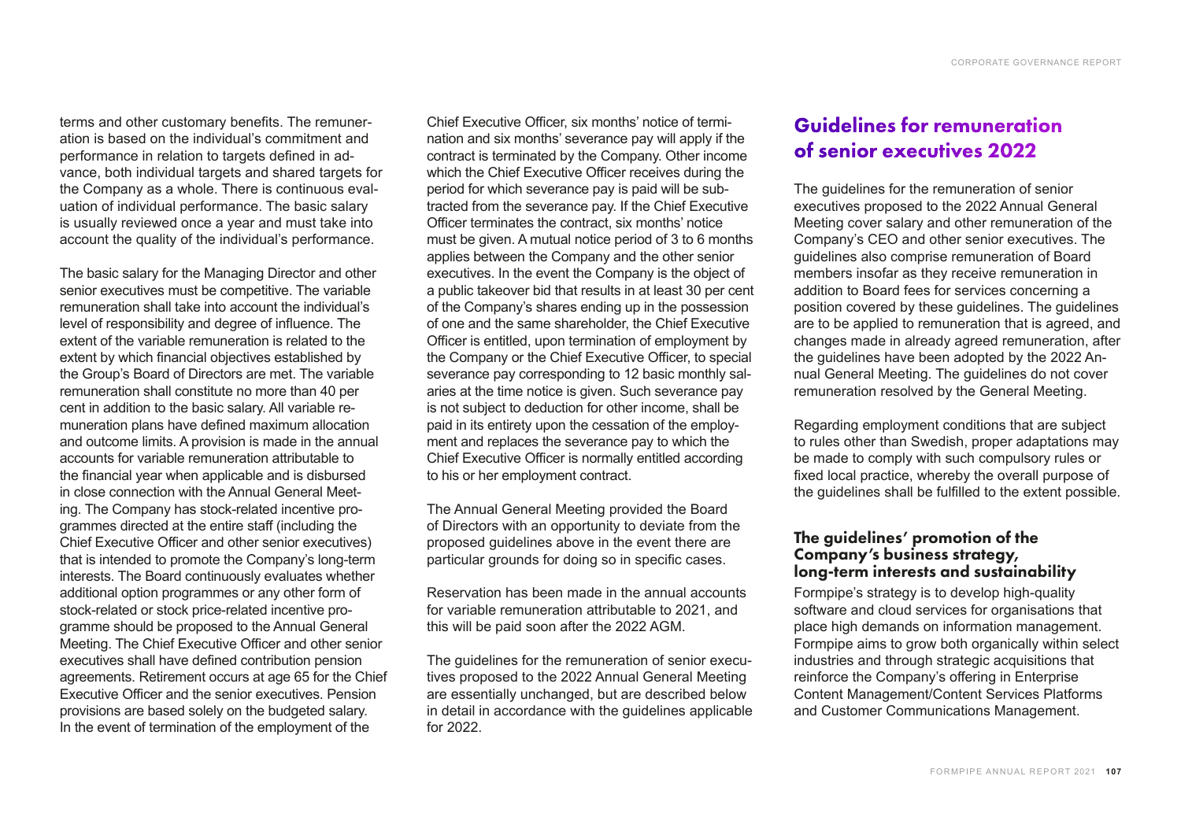terms and other customary benefits. The remuneration is based on the individual's commitment and performance in relation to targets defined in advance, both individual targets and shared targets for the Company as a whole. There is continuous evaluation of individual performance. The basic salary is usually reviewed once a year and must take into account the quality of the individual's performance.

The basic salary for the Managing Director and other senior executives must be competitive. The variable remuneration shall take into account the individual's level of responsibility and degree of influence. The extent of the variable remuneration is related to the extent by which financial objectives established by the Group's Board of Directors are met. The variable remuneration shall constitute no more than 40 per cent in addition to the basic salary. All variable remuneration plans have defined maximum allocation and outcome limits. A provision is made in the annual accounts for variable remuneration attributable to the financial year when applicable and is disbursed in close connection with the Annual General Meeting. The Company has stock-related incentive programmes directed at the entire staff (including the Chief Executive Officer and other senior executives) that is intended to promote the Company's long-term interests. The Board continuously evaluates whether additional option programmes or any other form of stock-related or stock price-related incentive programme should be proposed to the Annual General Meeting. The Chief Executive Officer and other senior executives shall have defined contribution pension agreements. Retirement occurs at age 65 for the Chief Executive Officer and the senior executives. Pension provisions are based solely on the budgeted salary. In the event of termination of the employment of the

Chief Executive Officer, six months' notice of termination and six months' severance pay will apply if the contract is terminated by the Company. Other income which the Chief Executive Officer receives during the period for which severance pay is paid will be subtracted from the severance pay. If the Chief Executive Officer terminates the contract, six months' notice must be given. A mutual notice period of 3 to 6 months applies between the Company and the other senior executives. In the event the Company is the object of a public takeover bid that results in at least 30 per cent of the Company's shares ending up in the possession of one and the same shareholder, the Chief Executive Officer is entitled, upon termination of employment by the Company or the Chief Executive Officer, to special severance pay corresponding to 12 basic monthly salaries at the time notice is given. Such severance pay is not subject to deduction for other income, shall be paid in its entirety upon the cessation of the employment and replaces the severance pay to which the Chief Executive Officer is normally entitled according to his or her employment contract.

The Annual General Meeting provided the Board of Directors with an opportunity to deviate from the proposed guidelines above in the event there are particular grounds for doing so in specific cases.

Reservation has been made in the annual accounts for variable remuneration attributable to 2021, and this will be paid soon after the 2022 AGM.

The guidelines for the remuneration of senior executives proposed to the 2022 Annual General Meeting are essentially unchanged, but are described below in detail in accordance with the guidelines applicable for 2022.

## Guidelines for remuneration of senior executives 2022

The guidelines for the remuneration of senior executives proposed to the 2022 Annual General Meeting cover salary and other remuneration of the Company's CEO and other senior executives. The guidelines also comprise remuneration of Board members insofar as they receive remuneration in addition to Board fees for services concerning a position covered by these guidelines. The guidelines are to be applied to remuneration that is agreed, and changes made in already agreed remuneration, after the guidelines have been adopted by the 2022 Annual General Meeting. The guidelines do not cover remuneration resolved by the General Meeting.

Regarding employment conditions that are subject to rules other than Swedish, proper adaptations may be made to comply with such compulsory rules or fixed local practice, whereby the overall purpose of the guidelines shall be fulfilled to the extent possible.

### The guidelines' promotion of the Company's business strategy, long-term interests and sustainability

Formpipe's strategy is to develop high-quality software and cloud services for organisations that place high demands on information management. Formpipe aims to grow both organically within select industries and through strategic acquisitions that reinforce the Company's offering in Enterprise Content Management/Content Services Platforms and Customer Communications Management.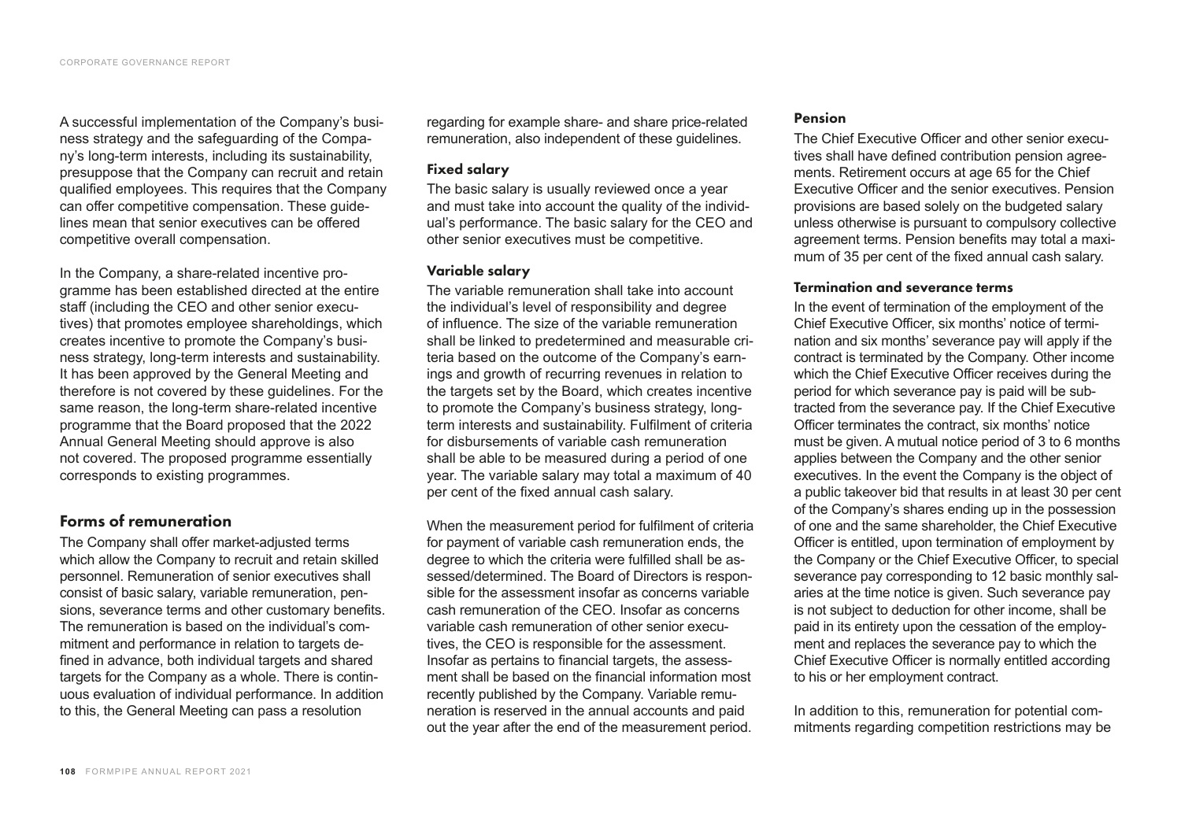A successful implementation of the Company's business strategy and the safeguarding of the Company's long-term interests, including its sustainability, presuppose that the Company can recruit and retain qualified employees. This requires that the Company can offer competitive compensation. These guidelines mean that senior executives can be offered competitive overall compensation.

In the Company, a share-related incentive programme has been established directed at the entire staff (including the CEO and other senior executives) that promotes employee shareholdings, which creates incentive to promote the Company's business strategy, long-term interests and sustainability. It has been approved by the General Meeting and therefore is not covered by these guidelines. For the same reason, the long-term share-related incentive programme that the Board proposed that the 2022 Annual General Meeting should approve is also not covered. The proposed programme essentially corresponds to existing programmes.

### Forms of remuneration

The Company shall offer market-adjusted terms which allow the Company to recruit and retain skilled personnel. Remuneration of senior executives shall consist of basic salary, variable remuneration, pensions, severance terms and other customary benefits. The remuneration is based on the individual's commitment and performance in relation to targets defined in advance, both individual targets and shared targets for the Company as a whole. There is continuous evaluation of individual performance. In addition to this, the General Meeting can pass a resolution

regarding for example share- and share price-related remuneration, also independent of these guidelines.

#### Fixed salary

The basic salary is usually reviewed once a year and must take into account the quality of the individual's performance. The basic salary for the CEO and other senior executives must be competitive.

#### Variable salary

The variable remuneration shall take into account the individual's level of responsibility and degree of influence. The size of the variable remuneration shall be linked to predetermined and measurable criteria based on the outcome of the Company's earnings and growth of recurring revenues in relation to the targets set by the Board, which creates incentive to promote the Company's business strategy, longterm interests and sustainability. Fulfilment of criteria for disbursements of variable cash remuneration shall be able to be measured during a period of one year. The variable salary may total a maximum of 40 per cent of the fixed annual cash salary.

When the measurement period for fulfilment of criteria for payment of variable cash remuneration ends, the degree to which the criteria were fulfilled shall be assessed/determined. The Board of Directors is responsible for the assessment insofar as concerns variable cash remuneration of the CEO. Insofar as concerns variable cash remuneration of other senior executives, the CEO is responsible for the assessment. Insofar as pertains to financial targets, the assessment shall be based on the financial information most recently published by the Company. Variable remuneration is reserved in the annual accounts and paid out the year after the end of the measurement period.

#### Pension

The Chief Executive Officer and other senior executives shall have defined contribution pension agreements. Retirement occurs at age 65 for the Chief Executive Officer and the senior executives. Pension provisions are based solely on the budgeted salary unless otherwise is pursuant to compulsory collective agreement terms. Pension benefits may total a maximum of 35 per cent of the fixed annual cash salary.

#### Termination and severance terms

In the event of termination of the employment of the Chief Executive Officer, six months' notice of termination and six months' severance pay will apply if the contract is terminated by the Company. Other income which the Chief Executive Officer receives during the period for which severance pay is paid will be subtracted from the severance pay. If the Chief Executive Officer terminates the contract, six months' notice must be given. A mutual notice period of 3 to 6 months applies between the Company and the other senior executives. In the event the Company is the object of a public takeover bid that results in at least 30 per cent of the Company's shares ending up in the possession of one and the same shareholder, the Chief Executive Officer is entitled, upon termination of employment by the Company or the Chief Executive Officer, to special severance pay corresponding to 12 basic monthly salaries at the time notice is given. Such severance pay is not subject to deduction for other income, shall be paid in its entirety upon the cessation of the employment and replaces the severance pay to which the Chief Executive Officer is normally entitled according to his or her employment contract.

In addition to this, remuneration for potential commitments regarding competition restrictions may be